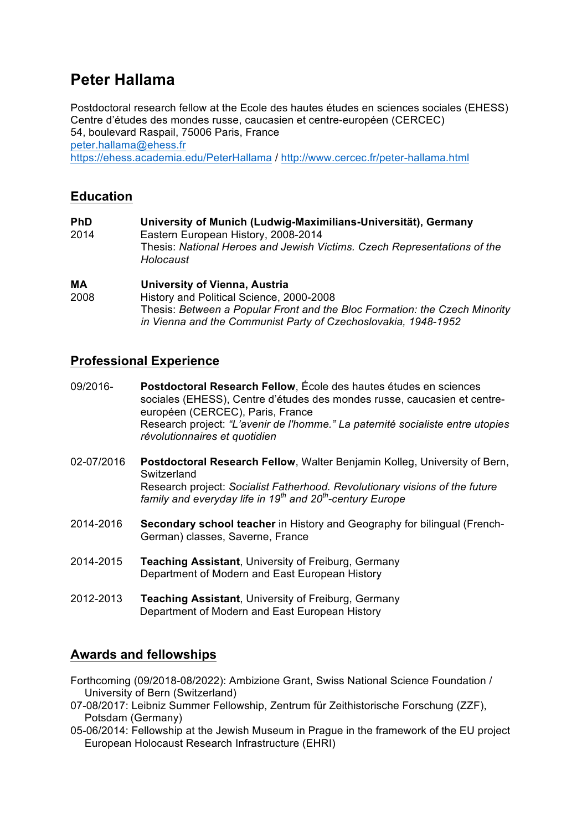# **Peter Hallama**

Postdoctoral research fellow at the Ecole des hautes études en sciences sociales (EHESS) Centre d'études des mondes russe, caucasien et centre-européen (CERCEC) 54, boulevard Raspail, 75006 Paris, France peter.hallama@ehess.fr https://ehess.academia.edu/PeterHallama / http://www.cercec.fr/peter-hallama.html

# **Education**

**PhD University of Munich (Ludwig-Maximilians-Universität), Germany** 2014 Eastern European History, 2008-2014 Thesis: *National Heroes and Jewish Victims. Czech Representations of the Holocaust*

### **MA University of Vienna, Austria**

2008 History and Political Science, 2000-2008 Thesis: *Between a Popular Front and the Bloc Formation: the Czech Minority in Vienna and the Communist Party of Czechoslovakia, 1948-1952*

# **Professional Experience**

- 09/2016- **Postdoctoral Research Fellow**, École des hautes études en sciences sociales (EHESS), Centre d'études des mondes russe, caucasien et centreeuropéen (CERCEC), Paris, France Research project: *"L'avenir de l'homme." La paternité socialiste entre utopies révolutionnaires et quotidien*
- 02-07/2016 **Postdoctoral Research Fellow**, Walter Benjamin Kolleg, University of Bern, **Switzerland** Research project: *Socialist Fatherhood. Revolutionary visions of the future family and everyday life in 19th and 20th-century Europe*
- 2014-2016 **Secondary school teacher** in History and Geography for bilingual (French-German) classes, Saverne, France
- 2014-2015 **Teaching Assistant**, University of Freiburg, Germany Department of Modern and East European History
- 2012-2013 **Teaching Assistant**, University of Freiburg, Germany Department of Modern and East European History

# **Awards and fellowships**

- Forthcoming (09/2018-08/2022): Ambizione Grant, Swiss National Science Foundation / University of Bern (Switzerland)
- 07-08/2017: Leibniz Summer Fellowship, Zentrum für Zeithistorische Forschung (ZZF), Potsdam (Germany)
- 05-06/2014: Fellowship at the Jewish Museum in Prague in the framework of the EU project European Holocaust Research Infrastructure (EHRI)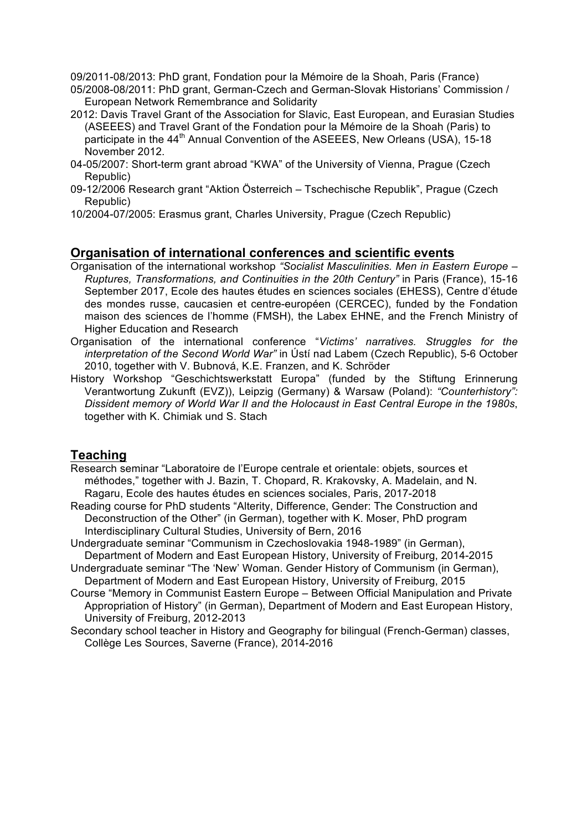09/2011-08/2013: PhD grant, Fondation pour la Mémoire de la Shoah, Paris (France)

- 05/2008-08/2011: PhD grant, German-Czech and German-Slovak Historians' Commission / European Network Remembrance and Solidarity
- 2012: Davis Travel Grant of the Association for Slavic, East European, and Eurasian Studies (ASEEES) and Travel Grant of the Fondation pour la Mémoire de la Shoah (Paris) to participate in the 44<sup>th</sup> Annual Convention of the ASEEES, New Orleans (USA), 15-18 November 2012.
- 04-05/2007: Short-term grant abroad "KWA" of the University of Vienna, Prague (Czech Republic)
- 09-12/2006 Research grant "Aktion Österreich Tschechische Republik", Prague (Czech Republic)
- 10/2004-07/2005: Erasmus grant, Charles University, Prague (Czech Republic)

### **Organisation of international conferences and scientific events**

- Organisation of the international workshop *"Socialist Masculinities. Men in Eastern Europe – Ruptures, Transformations, and Continuities in the 20th Century"* in Paris (France), 15-16 September 2017, Ecole des hautes études en sciences sociales (EHESS), Centre d'étude des mondes russe, caucasien et centre-européen (CERCEC), funded by the Fondation maison des sciences de l'homme (FMSH), the Labex EHNE, and the French Ministry of Higher Education and Research
- Organisation of the international conference "*Victims' narratives. Struggles for the interpretation of the Second World War"* in Ústí nad Labem (Czech Republic), 5-6 October 2010, together with V. Bubnová, K.E. Franzen, and K. Schröder
- History Workshop "Geschichtswerkstatt Europa" (funded by the Stiftung Erinnerung Verantwortung Zukunft (EVZ)), Leipzig (Germany) & Warsaw (Poland): *"Counterhistory": Dissident memory of World War II and the Holocaust in East Central Europe in the 1980s*, together with K. Chimiak und S. Stach

### **Teaching**

- Research seminar "Laboratoire de l'Europe centrale et orientale: objets, sources et méthodes," together with J. Bazin, T. Chopard, R. Krakovsky, A. Madelain, and N. Ragaru, Ecole des hautes études en sciences sociales, Paris, 2017-2018
- Reading course for PhD students "Alterity, Difference, Gender: The Construction and Deconstruction of the Other" (in German), together with K. Moser, PhD program Interdisciplinary Cultural Studies, University of Bern, 2016
- Undergraduate seminar "Communism in Czechoslovakia 1948-1989" (in German), Department of Modern and East European History, University of Freiburg, 2014-2015
- Undergraduate seminar "The 'New' Woman. Gender History of Communism (in German), Department of Modern and East European History, University of Freiburg, 2015
- Course "Memory in Communist Eastern Europe Between Official Manipulation and Private Appropriation of History" (in German), Department of Modern and East European History, University of Freiburg, 2012-2013
- Secondary school teacher in History and Geography for bilingual (French-German) classes, Collège Les Sources, Saverne (France), 2014-2016